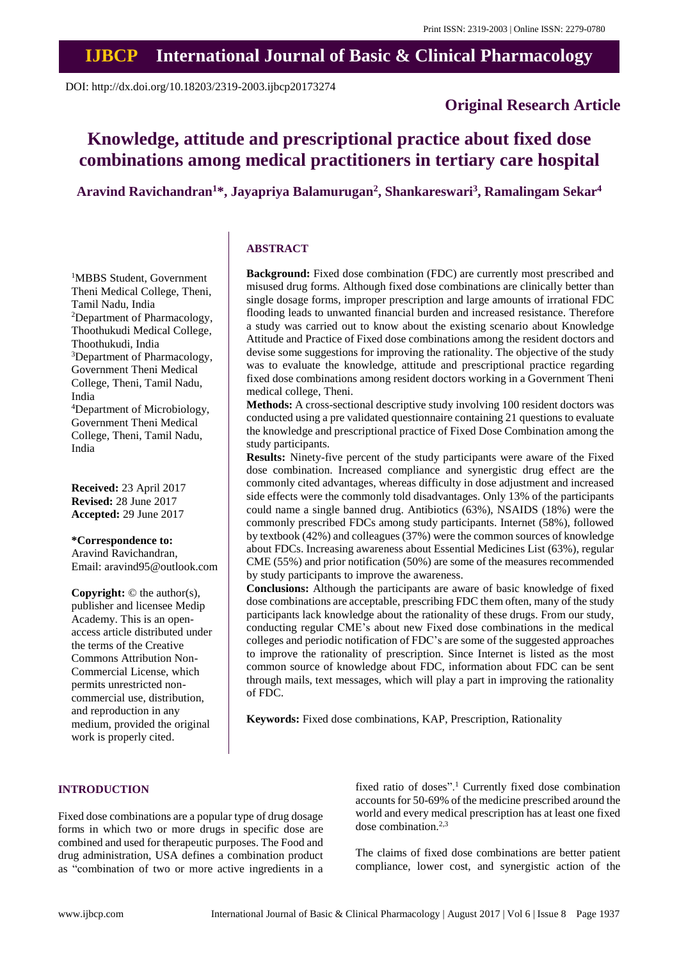# **IJBCP International Journal of Basic & Clinical Pharmacology**

DOI: http://dx.doi.org/10.18203/2319-2003.ijbcp20173274

# **Original Research Article**

# **Knowledge, attitude and prescriptional practice about fixed dose combinations among medical practitioners in tertiary care hospital**

**Aravind Ravichandran<sup>1</sup>\*, Jayapriya Balamurugan<sup>2</sup> , Shankareswari<sup>3</sup> , Ramalingam Sekar<sup>4</sup>**

## <sup>1</sup>MBBS Student, Government Theni Medical College, Theni, Tamil Nadu, India <sup>2</sup>Department of Pharmacology, Thoothukudi Medical College, Thoothukudi, India <sup>3</sup>Department of Pharmacology, Government Theni Medical College, Theni, Tamil Nadu, India <sup>4</sup>Department of Microbiology, Government Theni Medical College, Theni, Tamil Nadu, India

**Received:** 23 April 2017 **Revised:** 28 June 2017 **Accepted:** 29 June 2017

# **\*Correspondence to:**

Aravind Ravichandran, Email: aravind95@outlook.com

**Copyright:** © the author(s), publisher and licensee Medip Academy. This is an openaccess article distributed under the terms of the Creative Commons Attribution Non-Commercial License, which permits unrestricted noncommercial use, distribution, and reproduction in any medium, provided the original work is properly cited.

# **ABSTRACT**

**Background:** Fixed dose combination (FDC) are currently most prescribed and misused drug forms. Although fixed dose combinations are clinically better than single dosage forms, improper prescription and large amounts of irrational FDC flooding leads to unwanted financial burden and increased resistance. Therefore a study was carried out to know about the existing scenario about Knowledge Attitude and Practice of Fixed dose combinations among the resident doctors and devise some suggestions for improving the rationality. The objective of the study was to evaluate the knowledge, attitude and prescriptional practice regarding fixed dose combinations among resident doctors working in a Government Theni medical college, Theni.

**Methods:** A cross-sectional descriptive study involving 100 resident doctors was conducted using a pre validated questionnaire containing 21 questions to evaluate the knowledge and prescriptional practice of Fixed Dose Combination among the study participants.

**Results:** Ninety-five percent of the study participants were aware of the Fixed dose combination. Increased compliance and synergistic drug effect are the commonly cited advantages, whereas difficulty in dose adjustment and increased side effects were the commonly told disadvantages. Only 13% of the participants could name a single banned drug. Antibiotics (63%), NSAIDS (18%) were the commonly prescribed FDCs among study participants. Internet (58%), followed by textbook (42%) and colleagues (37%) were the common sources of knowledge about FDCs. Increasing awareness about Essential Medicines List (63%), regular CME (55%) and prior notification (50%) are some of the measures recommended by study participants to improve the awareness.

**Conclusions:** Although the participants are aware of basic knowledge of fixed dose combinations are acceptable, prescribing FDC them often, many of the study participants lack knowledge about the rationality of these drugs. From our study, conducting regular CME's about new Fixed dose combinations in the medical colleges and periodic notification of FDC's are some of the suggested approaches to improve the rationality of prescription. Since Internet is listed as the most common source of knowledge about FDC, information about FDC can be sent through mails, text messages, which will play a part in improving the rationality of FDC.

**Keywords:** Fixed dose combinations, KAP, Prescription, Rationality

# **INTRODUCTION**

Fixed dose combinations are a popular type of drug dosage forms in which two or more drugs in specific dose are combined and used for therapeutic purposes. The Food and drug administration, USA defines a combination product as "combination of two or more active ingredients in a fixed ratio of doses".<sup>1</sup> Currently fixed dose combination accounts for 50-69% of the medicine prescribed around the world and every medical prescription has at least one fixed dose combination.<sup>2,3</sup>

The claims of fixed dose combinations are better patient compliance, lower cost, and synergistic action of the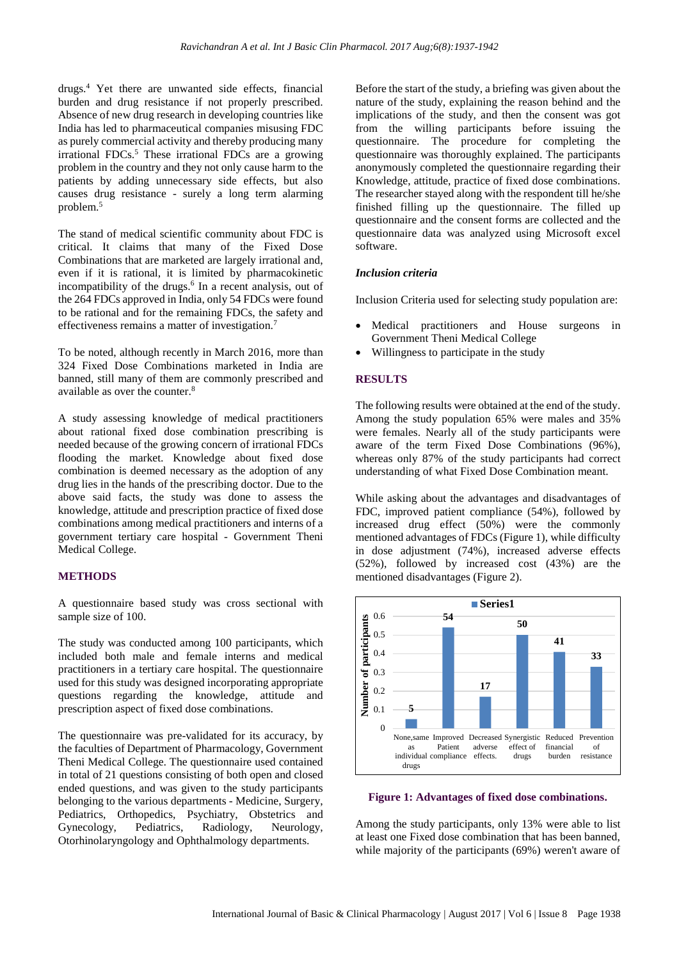drugs.<sup>4</sup> Yet there are unwanted side effects, financial burden and drug resistance if not properly prescribed. Absence of new drug research in developing countries like India has led to pharmaceutical companies misusing FDC as purely commercial activity and thereby producing many irrational FDCs. <sup>5</sup> These irrational FDCs are a growing problem in the country and they not only cause harm to the patients by adding unnecessary side effects, but also causes drug resistance - surely a long term alarming problem.<sup>5</sup>

The stand of medical scientific community about FDC is critical. It claims that many of the Fixed Dose Combinations that are marketed are largely irrational and, even if it is rational, it is limited by pharmacokinetic incompatibility of the drugs.<sup>6</sup> In a recent analysis, out of the 264 FDCs approved in India, only 54 FDCs were found to be rational and for the remaining FDCs, the safety and effectiveness remains a matter of investigation.<sup>7</sup>

To be noted, although recently in March 2016, more than 324 Fixed Dose Combinations marketed in India are banned, still many of them are commonly prescribed and available as over the counter.<sup>8</sup>

A study assessing knowledge of medical practitioners about rational fixed dose combination prescribing is needed because of the growing concern of irrational FDCs flooding the market. Knowledge about fixed dose combination is deemed necessary as the adoption of any drug lies in the hands of the prescribing doctor. Due to the above said facts, the study was done to assess the knowledge, attitude and prescription practice of fixed dose combinations among medical practitioners and interns of a government tertiary care hospital - Government Theni Medical College.

# **METHODS**

A questionnaire based study was cross sectional with sample size of 100.

The study was conducted among 100 participants, which included both male and female interns and medical practitioners in a tertiary care hospital. The questionnaire used for this study was designed incorporating appropriate questions regarding the knowledge, attitude and prescription aspect of fixed dose combinations.

The questionnaire was pre-validated for its accuracy, by the faculties of Department of Pharmacology, Government Theni Medical College. The questionnaire used contained in total of 21 questions consisting of both open and closed ended questions, and was given to the study participants belonging to the various departments - Medicine, Surgery, Pediatrics, Orthopedics, Psychiatry, Obstetrics and Gynecology, Pediatrics, Radiology, Neurology, Otorhinolaryngology and Ophthalmology departments.

Before the start of the study, a briefing was given about the nature of the study, explaining the reason behind and the implications of the study, and then the consent was got from the willing participants before issuing the questionnaire. The procedure for completing the questionnaire was thoroughly explained. The participants anonymously completed the questionnaire regarding their Knowledge, attitude, practice of fixed dose combinations. The researcher stayed along with the respondent till he/she finished filling up the questionnaire. The filled up questionnaire and the consent forms are collected and the questionnaire data was analyzed using Microsoft excel software.

### *Inclusion criteria*

Inclusion Criteria used for selecting study population are:

- Medical practitioners and House surgeons in Government Theni Medical College
- Willingness to participate in the study

## **RESULTS**

The following results were obtained at the end of the study. Among the study population 65% were males and 35% were females. Nearly all of the study participants were aware of the term Fixed Dose Combinations (96%), whereas only 87% of the study participants had correct understanding of what Fixed Dose Combination meant.

While asking about the advantages and disadvantages of FDC, improved patient compliance (54%), followed by increased drug effect (50%) were the commonly mentioned advantages of FDCs (Figure 1), while difficulty in dose adjustment (74%), increased adverse effects (52%), followed by increased cost (43%) are the mentioned disadvantages (Figure 2).



#### **Figure 1: Advantages of fixed dose combinations.**

Among the study participants, only 13% were able to list at least one Fixed dose combination that has been banned, while majority of the participants (69%) weren't aware of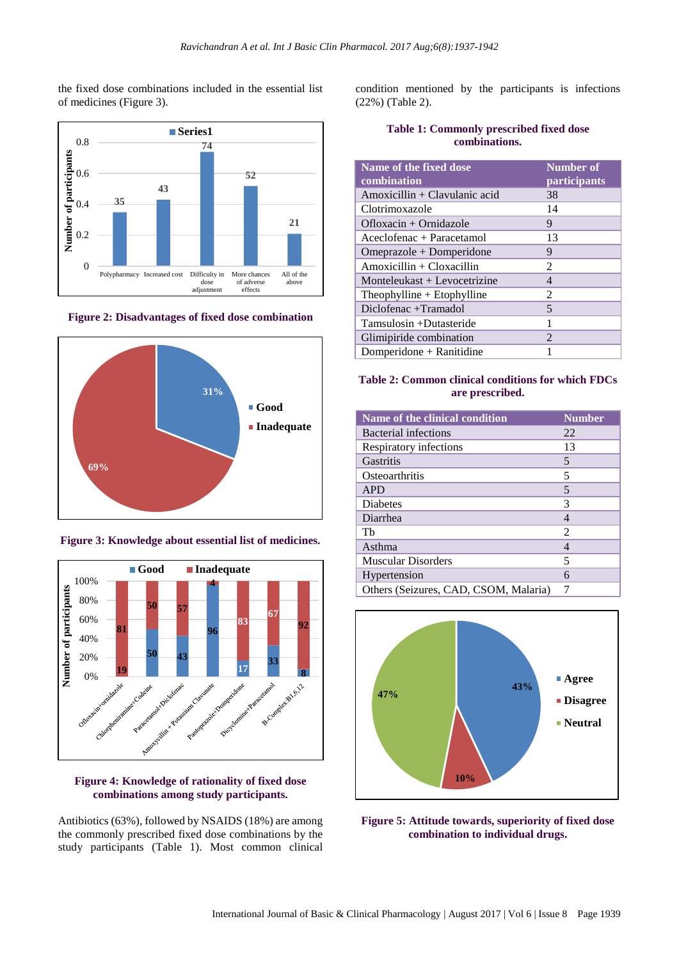the fixed dose combinations included in the essential list of medicines (Figure 3).



**Figure 2: Disadvantages of fixed dose combination**



**Figure 3: Knowledge about essential list of medicines.**



# **Figure 4: Knowledge of rationality of fixed dose combinations among study participants.**

Antibiotics (63%), followed by NSAIDS (18%) are among the commonly prescribed fixed dose combinations by the study participants (Table 1). Most common clinical

condition mentioned by the participants is infections (22%) (Table 2).

|               | <b>Table 1: Commonly prescribed fixed dose</b> |  |  |  |  |
|---------------|------------------------------------------------|--|--|--|--|
| combinations. |                                                |  |  |  |  |

| Name of the fixed dose<br>combination | <b>Number of</b><br>participants |
|---------------------------------------|----------------------------------|
| Amoxicillin + Clavulanic acid         | 38                               |
| Clotrimoxazole                        | 14                               |
| Ofloxacin + Ornidazole                | 9                                |
| Aceclofenac + Paracetamol             | 13                               |
| Omeprazole + Domperidone              | 9                                |
| $Amoxicillin + Cloxacillin$           | $\mathfrak{D}$                   |
| Monteleukast + Levocetrizine          | $\overline{4}$                   |
| Theophylline $+$ Etophylline          | $\mathfrak{D}$                   |
| Diclofenac +Tramadol                  | $\overline{5}$                   |
| Tamsulosin +Dutasteride               | 1                                |
| Glimipiride combination               | $\mathcal{D}_{\mathcal{L}}$      |
| Domperidone + Ranitidine              |                                  |

# **Table 2: Common clinical conditions for which FDCs are prescribed.**

| Name of the clinical condition        | <b>Number</b> |
|---------------------------------------|---------------|
| <b>Bacterial infections</b>           | 22            |
| Respiratory infections                | 13            |
| Gastritis                             | 5             |
| Osteoarthritis                        | 5             |
| <b>APD</b>                            | 5             |
| <b>Diabetes</b>                       | 3             |
| Diarrhea                              | 4             |
| Th                                    | 2             |
| Asthma                                | 4             |
| <b>Muscular Disorders</b>             | 5             |
| Hypertension                          | 6             |
| Others (Seizures, CAD, CSOM, Malaria) | 7             |



**Figure 5: Attitude towards, superiority of fixed dose combination to individual drugs.**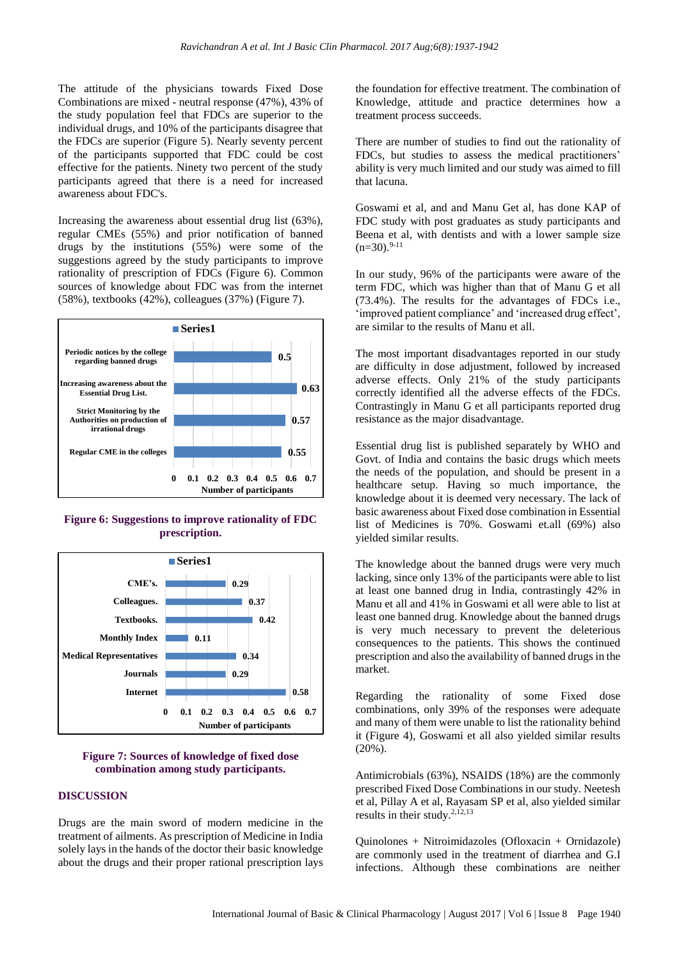The attitude of the physicians towards Fixed Dose Combinations are mixed - neutral response (47%), 43% of the study population feel that FDCs are superior to the individual drugs, and 10% of the participants disagree that the FDCs are superior (Figure 5). Nearly seventy percent of the participants supported that FDC could be cost effective for the patients. Ninety two percent of the study participants agreed that there is a need for increased awareness about FDC's.

Increasing the awareness about essential drug list (63%), regular CMEs (55%) and prior notification of banned drugs by the institutions (55%) were some of the suggestions agreed by the study participants to improve rationality of prescription of FDCs (Figure 6). Common sources of knowledge about FDC was from the internet (58%), textbooks (42%), colleagues (37%) (Figure 7).



**Figure 6: Suggestions to improve rationality of FDC prescription.**



## **Figure 7: Sources of knowledge of fixed dose combination among study participants.**

#### **DISCUSSION**

Drugs are the main sword of modern medicine in the treatment of ailments. As prescription of Medicine in India solely lays in the hands of the doctor their basic knowledge about the drugs and their proper rational prescription lays the foundation for effective treatment. The combination of Knowledge, attitude and practice determines how a treatment process succeeds.

There are number of studies to find out the rationality of FDCs, but studies to assess the medical practitioners' ability is very much limited and our study was aimed to fill that lacuna.

Goswami et al, and and Manu Get al, has done KAP of FDC study with post graduates as study participants and Beena et al, with dentists and with a lower sample size  $(n=30)$ .<sup>9-11</sup>

In our study, 96% of the participants were aware of the term FDC, which was higher than that of Manu G et all (73.4%). The results for the advantages of FDCs i.e., 'improved patient compliance' and 'increased drug effect', are similar to the results of Manu et all.

The most important disadvantages reported in our study are difficulty in dose adjustment, followed by increased adverse effects. Only 21% of the study participants correctly identified all the adverse effects of the FDCs. Contrastingly in Manu G et all participants reported drug resistance as the major disadvantage.

Essential drug list is published separately by WHO and Govt. of India and contains the basic drugs which meets the needs of the population, and should be present in a healthcare setup. Having so much importance, the knowledge about it is deemed very necessary. The lack of basic awareness about Fixed dose combination in Essential list of Medicines is 70%. Goswami et.all (69%) also yielded similar results.

The knowledge about the banned drugs were very much lacking, since only 13% of the participants were able to list at least one banned drug in India, contrastingly 42% in Manu et all and 41% in Goswami et all were able to list at least one banned drug. Knowledge about the banned drugs is very much necessary to prevent the deleterious consequences to the patients. This shows the continued prescription and also the availability of banned drugs in the market.

Regarding the rationality of some Fixed dose combinations, only 39% of the responses were adequate and many of them were unable to list the rationality behind it (Figure 4), Goswami et all also yielded similar results (20%).

Antimicrobials (63%), NSAIDS (18%) are the commonly prescribed Fixed Dose Combinations in our study. Neetesh et al, Pillay A et al, Rayasam SP et al, also yielded similar results in their study.<sup>2,12,13</sup>

Quinolones + Nitroimidazoles (Ofloxacin + Ornidazole) are commonly used in the treatment of diarrhea and G.I infections. Although these combinations are neither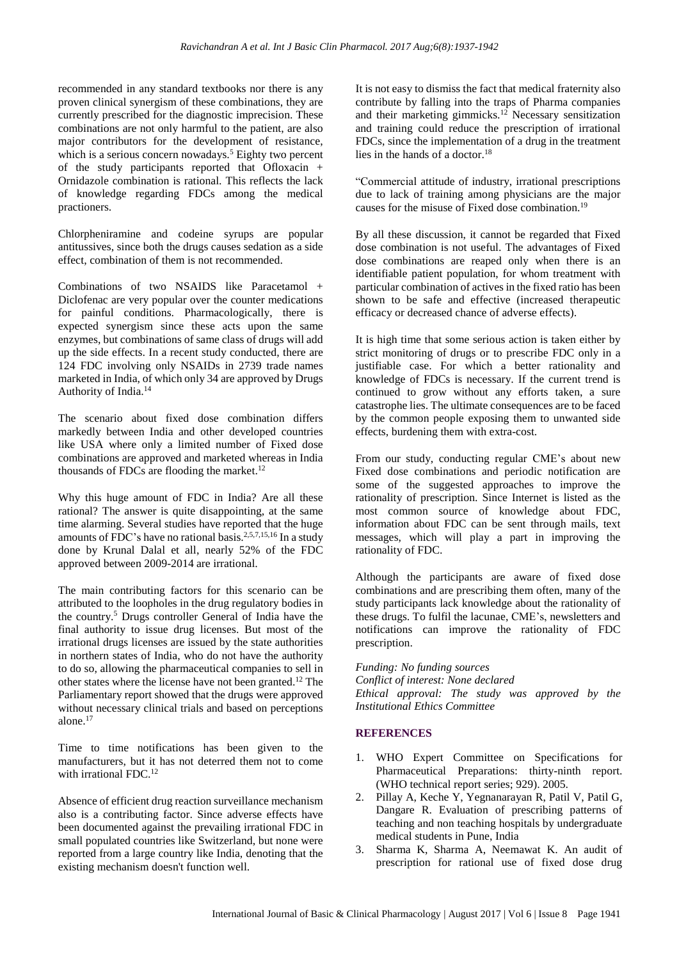recommended in any standard textbooks nor there is any proven clinical synergism of these combinations, they are currently prescribed for the diagnostic imprecision. These combinations are not only harmful to the patient, are also major contributors for the development of resistance, which is a serious concern nowadays.<sup>5</sup> Eighty two percent of the study participants reported that Ofloxacin + Ornidazole combination is rational. This reflects the lack of knowledge regarding FDCs among the medical practioners.

Chlorpheniramine and codeine syrups are popular antitussives, since both the drugs causes sedation as a side effect, combination of them is not recommended.

Combinations of two NSAIDS like Paracetamol + Diclofenac are very popular over the counter medications for painful conditions. Pharmacologically, there is expected synergism since these acts upon the same enzymes, but combinations of same class of drugs will add up the side effects. In a recent study conducted, there are 124 FDC involving only NSAIDs in 2739 trade names marketed in India, of which only 34 are approved by Drugs Authority of India.<sup>14</sup>

The scenario about fixed dose combination differs markedly between India and other developed countries like USA where only a limited number of Fixed dose combinations are approved and marketed whereas in India thousands of FDCs are flooding the market.<sup>12</sup>

Why this huge amount of FDC in India? Are all these rational? The answer is quite disappointing, at the same time alarming. Several studies have reported that the huge amounts of FDC's have no rational basis.<sup>2,5,7,15,16</sup> In a study done by Krunal Dalal et all, nearly 52% of the FDC approved between 2009-2014 are irrational.

The main contributing factors for this scenario can be attributed to the loopholes in the drug regulatory bodies in the country. <sup>5</sup> Drugs controller General of India have the final authority to issue drug licenses. But most of the irrational drugs licenses are issued by the state authorities in northern states of India, who do not have the authority to do so, allowing the pharmaceutical companies to sell in other states where the license have not been granted.<sup>12</sup> The Parliamentary report showed that the drugs were approved without necessary clinical trials and based on perceptions alone.<sup>17</sup>

Time to time notifications has been given to the manufacturers, but it has not deterred them not to come with irrational FDC.<sup>12</sup>

Absence of efficient drug reaction surveillance mechanism also is a contributing factor. Since adverse effects have been documented against the prevailing irrational FDC in small populated countries like Switzerland, but none were reported from a large country like India, denoting that the existing mechanism doesn't function well.

It is not easy to dismiss the fact that medical fraternity also contribute by falling into the traps of Pharma companies and their marketing gimmicks.<sup>12</sup> Necessary sensitization and training could reduce the prescription of irrational FDCs, since the implementation of a drug in the treatment lies in the hands of a doctor.<sup>18</sup>

"Commercial attitude of industry, irrational prescriptions due to lack of training among physicians are the major causes for the misuse of Fixed dose combination.<sup>19</sup>

By all these discussion, it cannot be regarded that Fixed dose combination is not useful. The advantages of Fixed dose combinations are reaped only when there is an identifiable patient population, for whom treatment with particular combination of actives in the fixed ratio has been shown to be safe and effective (increased therapeutic efficacy or decreased chance of adverse effects).

It is high time that some serious action is taken either by strict monitoring of drugs or to prescribe FDC only in a justifiable case. For which a better rationality and knowledge of FDCs is necessary. If the current trend is continued to grow without any efforts taken, a sure catastrophe lies. The ultimate consequences are to be faced by the common people exposing them to unwanted side effects, burdening them with extra-cost.

From our study, conducting regular CME's about new Fixed dose combinations and periodic notification are some of the suggested approaches to improve the rationality of prescription. Since Internet is listed as the most common source of knowledge about FDC, information about FDC can be sent through mails, text messages, which will play a part in improving the rationality of FDC.

Although the participants are aware of fixed dose combinations and are prescribing them often, many of the study participants lack knowledge about the rationality of these drugs. To fulfil the lacunae, CME's, newsletters and notifications can improve the rationality of FDC prescription.

*Funding: No funding sources Conflict of interest: None declared Ethical approval: The study was approved by the Institutional Ethics Committee*

# **REFERENCES**

- 1. WHO Expert Committee on Specifications for Pharmaceutical Preparations: thirty-ninth report. (WHO technical report series; 929). 2005.
- 2. Pillay A, Keche Y, Yegnanarayan R, Patil V, Patil G, Dangare R. Evaluation of prescribing patterns of teaching and non teaching hospitals by undergraduate medical students in Pune, India
- 3. Sharma K, Sharma A, Neemawat K. An audit of prescription for rational use of fixed dose drug